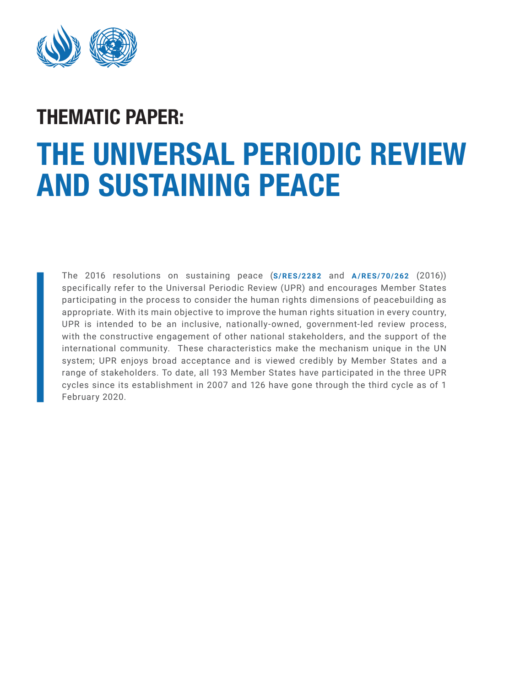

# THE UNIVERSAL PERIODIC REVIEW AND SUSTAINING PEACE THEMATIC PAPER:

The 2016 resolutions on sustaining peace (**[S/RES/2282](https://undocs.org/S/RES/2282(2016))** and **[A/RES/70/262](https://undocs.org/A/RES/70/262)** (2016)) specifically refer to the Universal Periodic Review (UPR) and encourages Member States participating in the process to consider the human rights dimensions of peacebuilding as appropriate. With its main objective to improve the human rights situation in every country, UPR is intended to be an inclusive, nationally-owned, government-led review process, with the constructive engagement of other national stakeholders, and the support of the international community. These characteristics make the mechanism unique in the UN system; UPR enjoys broad acceptance and is viewed credibly by Member States and a range of stakeholders. To date, all 193 Member States have participated in the three UPR cycles since its establishment in 2007 and 126 have gone through the third cycle as of 1 February 2020.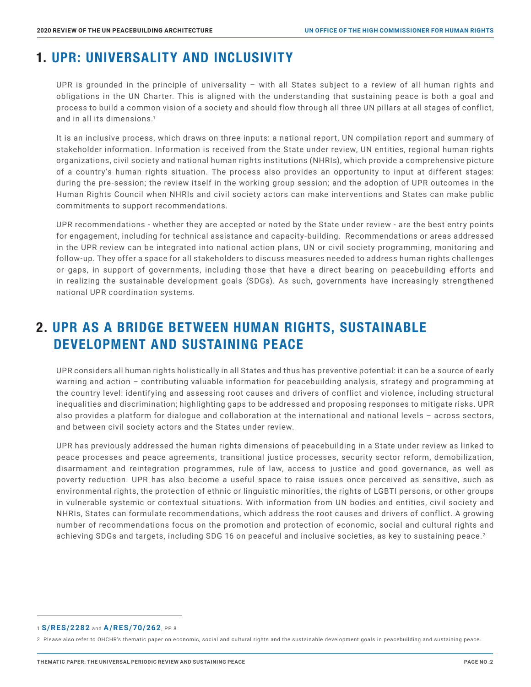# 1. UPR: UNIVERSALITY AND INCLUSIVITY

UPR is grounded in the principle of universality – with all States subject to a review of all human rights and obligations in the UN Charter. This is aligned with the understanding that sustaining peace is both a goal and process to build a common vision of a society and should flow through all three UN pillars at all stages of conflict, and in all its dimensions.<sup>1</sup>

 It is an inclusive process, which draws on three inputs: a national report, UN compilation report and summary of stakeholder information. Information is received from the State under review, UN entities, regional human rights organizations, civil society and national human rights institutions (NHRIs), which provide a comprehensive picture of a country's human rights situation. The process also provides an opportunity to input at different stages: during the pre-session; the review itself in the working group session; and the adoption of UPR outcomes in the Human Rights Council when NHRIs and civil society actors can make interventions and States can make public commitments to support recommendations.

 UPR recommendations - whether they are accepted or noted by the State under review - are the best entry points for engagement, including for technical assistance and capacity-building. Recommendations or areas addressed in the UPR review can be integrated into national action plans, UN or civil society programming, monitoring and follow-up. They offer a space for all stakeholders to discuss measures needed to address human rights challenges or gaps, in support of governments, including those that have a direct bearing on peacebuilding efforts and in realizing the sustainable development goals (SDGs). As such, governments have increasingly strengthened national UPR coordination systems.

# 2. UPR AS A BRIDGE BETWEEN HUMAN RIGHTS, SUSTAINABLE DEVELOPMENT AND SUSTAINING PEACE

UPR considers all human rights holistically in all States and thus has preventive potential: it can be a source of early warning and action – contributing valuable information for peacebuilding analysis, strategy and programming at the country level: identifying and assessing root causes and drivers of conflict and violence, including structural inequalities and discrimination; highlighting gaps to be addressed and proposing responses to mitigate risks. UPR also provides a platform for dialogue and collaboration at the international and national levels – across sectors, and between civil society actors and the States under review.

 UPR has previously addressed the human rights dimensions of peacebuilding in a State under review as linked to peace processes and peace agreements, transitional justice processes, security sector reform, demobilization, disarmament and reintegration programmes, rule of law, access to justice and good governance, as well as poverty reduction. UPR has also become a useful space to raise issues once perceived as sensitive, such as environmental rights, the protection of ethnic or linguistic minorities, the rights of LGBTI persons, or other groups in vulnerable systemic or contextual situations. With information from UN bodies and entities, civil society and NHRIs, States can formulate recommendations, which address the root causes and drivers of conflict. A growing number of recommendations focus on the promotion and protection of economic, social and cultural rights and achieving SDGs and targets, including SDG 16 on peaceful and inclusive societies, as key to sustaining peace.<sup>2</sup>

<sup>1</sup> **[S/RES/2282](https://undocs.org/S/RES/2282(2016))** and **[A/RES/70/262](https://undocs.org/A/RES/70/262)**, PP 8

<sup>2</sup> Please also refer to OHCHR's thematic paper on economic, social and cultural rights and the sustainable development goals in peacebuilding and sustaining peace.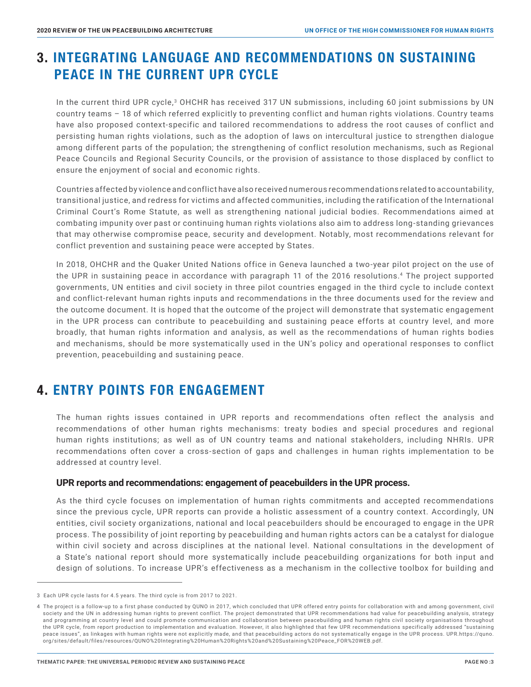# 3. INTEGRATING LANGUAGE AND RECOMMENDATIONS ON SUSTAINING PEACE IN THE CURRENT UPR CYCLE

In the current third UPR cycle,<sup>3</sup> OHCHR has received 317 UN submissions, including 60 joint submissions by UN country teams – 18 of which referred explicitly to preventing conflict and human rights violations. Country teams have also proposed context-specific and tailored recommendations to address the root causes of conflict and persisting human rights violations, such as the adoption of laws on intercultural justice to strengthen dialogue among different parts of the population; the strengthening of conflict resolution mechanisms, such as Regional Peace Councils and Regional Security Councils, or the provision of assistance to those displaced by conflict to ensure the enjoyment of social and economic rights.

 Countries affected by violence and conflict have also received numerous recommendations related to accountability, transitional justice, and redress for victims and affected communities, including the ratification of the International Criminal Court's Rome Statute, as well as strengthening national judicial bodies. Recommendations aimed at combating impunity over past or continuing human rights violations also aim to address long-standing grievances that may otherwise compromise peace, security and development. Notably, most recommendations relevant for conflict prevention and sustaining peace were accepted by States.

 In 2018, OHCHR and the Quaker United Nations office in Geneva launched a two-year pilot project on the use of the UPR in sustaining peace in accordance with paragraph 11 of the 2016 resolutions.4 The project supported governments, UN entities and civil society in three pilot countries engaged in the third cycle to include context and conflict-relevant human rights inputs and recommendations in the three documents used for the review and the outcome document. It is hoped that the outcome of the project will demonstrate that systematic engagement in the UPR process can contribute to peacebuilding and sustaining peace efforts at country level, and more broadly, that human rights information and analysis, as well as the recommendations of human rights bodies and mechanisms, should be more systematically used in the UN's policy and operational responses to conflict prevention, peacebuilding and sustaining peace.

## 4. ENTRY POINTS FOR ENGAGEMENT

The human rights issues contained in UPR reports and recommendations often reflect the analysis and recommendations of other human rights mechanisms: treaty bodies and special procedures and regional human rights institutions; as well as of UN country teams and national stakeholders, including NHRIs. UPR recommendations often cover a cross-section of gaps and challenges in human rights implementation to be addressed at country level.

### **UPR reports and recommendations: engagement of peacebuilders in the UPR process.**

 As the third cycle focuses on implementation of human rights commitments and accepted recommendations since the previous cycle, UPR reports can provide a holistic assessment of a country context. Accordingly, UN entities, civil society organizations, national and local peacebuilders should be encouraged to engage in the UPR process. The possibility of joint reporting by peacebuilding and human rights actors can be a catalyst for dialogue within civil society and across disciplines at the national level. National consultations in the development of a State's national report should more systematically include peacebuilding organizations for both input and design of solutions. To increase UPR's effectiveness as a mechanism in the collective toolbox for building and

<sup>3</sup> Each UPR cycle lasts for 4.5 years. The third cycle is from 2017 to 2021.

<sup>4</sup> The project is a follow-up to a first phase conducted by QUNO in 2017, which concluded that UPR offered entry points for collaboration with and among government, civil society and the UN in addressing human rights to prevent conflict. The project demonstrated that UPR recommendations had value for peacebuilding analysis, strategy and programming at country level and could promote communication and collaboration between peacebuilding and human rights civil society organisations throughout the UPR cycle, from report production to implementation and evaluation. However, it also highlighted that few UPR recommendations specifically addressed "sustaining peace issues", as linkages with human rights were not explicitly made, and that peacebuilding actors do not systematically engage in the UPR process. UPR.https://quno. org/sites/default/files/resources/QUNO%20Integrating%20Human%20Rights%20and%20Sustaining%20Peace\_FOR%20WEB.pdf.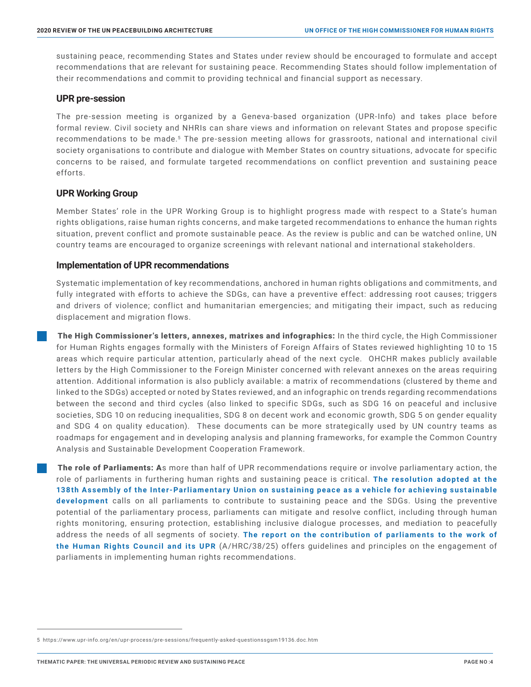sustaining peace, recommending States and States under review should be encouraged to formulate and accept recommendations that are relevant for sustaining peace. Recommending States should follow implementation of their recommendations and commit to providing technical and financial support as necessary.

#### **UPR pre-session**

 The pre-session meeting is organized by a Geneva-based organization (UPR-Info) and takes place before formal review. Civil society and NHRIs can share views and information on relevant States and propose specific recommendations to be made.<sup>5</sup> The pre-session meeting allows for grassroots, national and international civil society organisations to contribute and dialogue with Member States on country situations, advocate for specific concerns to be raised, and formulate targeted recommendations on conflict prevention and sustaining peace efforts.

## **UPR Working Group**

 Member States' role in the UPR Working Group is to highlight progress made with respect to a State's human rights obligations, raise human rights concerns, and make targeted recommendations to enhance the human rights situation, prevent conflict and promote sustainable peace. As the review is public and can be watched online, UN country teams are encouraged to organize screenings with relevant national and international stakeholders.

## **Implementation of UPR recommendations**

 Systematic implementation of key recommendations, anchored in human rights obligations and commitments, and fully integrated with efforts to achieve the SDGs, can have a preventive effect: addressing root causes; triggers and drivers of violence; conflict and humanitarian emergencies; and mitigating their impact, such as reducing displacement and migration flows.

The High Commissioner's letters, annexes, matrixes and infographics: In the third cycle, the High Commissioner for Human Rights engages formally with the Ministers of Foreign Affairs of States reviewed highlighting 10 to 15 areas which require particular attention, particularly ahead of the next cycle. OHCHR makes publicly available letters by the High Commissioner to the Foreign Minister concerned with relevant annexes on the areas requiring attention. Additional information is also publicly available: a matrix of recommendations (clustered by theme and linked to the SDGs) accepted or noted by States reviewed, and an infographic on trends regarding recommendations between the second and third cycles (also linked to specific SDGs, such as SDG 16 on peaceful and inclusive societies, SDG 10 on reducing inequalities, SDG 8 on decent work and economic growth, SDG 5 on gender equality and SDG 4 on quality education). These documents can be more strategically used by UN country teams as roadmaps for engagement and in developing analysis and planning frameworks, for example the Common Country Analysis and Sustainable Development Cooperation Framework.

The role of Parliaments: As more than half of UPR recommendations require or involve parliamentary action, the role of parliaments in furthering human rights and sustaining peace is critical. **[The resolution adopted at the](file://C:\\Users\ams10\Downloads\item_4-cmi-final-e.pdf)**  138th Assembly of the Inter-Parliamentary Union on sustaining peace as a vehicle for achieving sustainable **[development](file://C:\\Users\ams10\Downloads\item_4-cmi-final-e.pdf)** calls on all parliaments to contribute to sustaining peace and the SDGs. Using the preventive potential of the parliamentary process, parliaments can mitigate and resolve conflict, including through human rights monitoring, ensuring protection, establishing inclusive dialogue processes, and mediation to peacefully address the needs of all segments of society. The report on the contribution of parliaments to the work of **[the Human Rights Council and its UPR](https://undocs.org/A/HRC/38/25)** (A/HRC/38/25) offers guidelines and principles on the engagement of parliaments in implementing human rights recommendations.

<sup>5</sup> https://www.upr-info.org/en/upr-process/pre-sessions/frequently-asked-questionssgsm19136.doc.htm